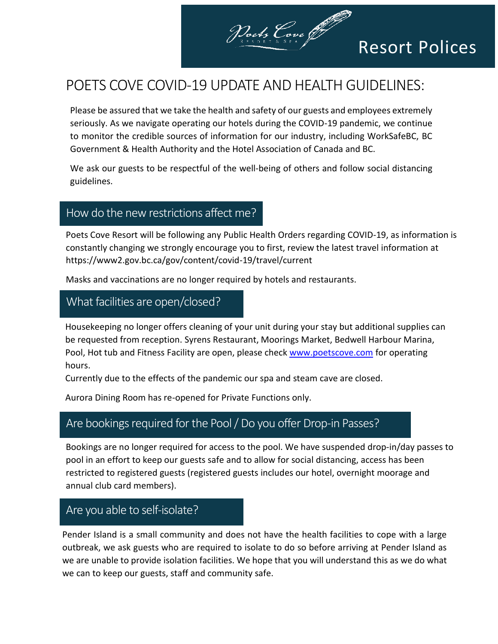

# Resort Polices

# POETS COVE COVID-19 UPDATE AND HEALTH GUIDELINES:

Please be assured that we take the health and safety of our guests and employees extremely seriously. As we navigate operating our hotels during the COVID-19 pandemic, we continue to monitor the credible sources of information for our industry, including WorkSafeBC, BC Government & Health Authority and the Hotel Association of Canada and BC.

We ask our guests to be respectful of the well-being of others and follow social distancing guidelines.

### How do the new restrictions affect me?

Poets Cove Resort will be following any Public Health Orders regarding COVID-19, as information is constantly changing we strongly encourage you to first, review the latest travel information at https://www2.gov.bc.ca/gov/content/covid-19/travel/current

Masks and vaccinations are no longer required by hotels and restaurants.

# What facilities are open/closed?

Housekeeping no longer offers cleaning of your unit during your stay but additional supplies can be requested from reception. Syrens Restaurant, Moorings Market, Bedwell Harbour Marina, Pool, Hot tub and Fitness Facility are open, please check [www.poetscove.com](http://www.poetscove.com/) for operating hours.

Currently due to the effects of the pandemic our spa and steam cave are closed.

Aurora Dining Room has re-opened for Private Functions only.

# Are bookings required for the Pool / Do you offer Drop-in Passes?

Bookings are no longer required for access to the pool. We have suspended drop-in/day passes to pool in an effort to keep our guests safe and to allow for social distancing, access has been restricted to registered guests (registered guests includes our hotel, overnight moorage and annual club card members).

#### Are you able to self-isolate?

Pender Island is a small community and does not have the health facilities to cope with a large outbreak, we ask guests who are required to isolate to do so before arriving at Pender Island as we are unable to provide isolation facilities. We hope that you will understand this as we do what we can to keep our guests, staff and community safe.